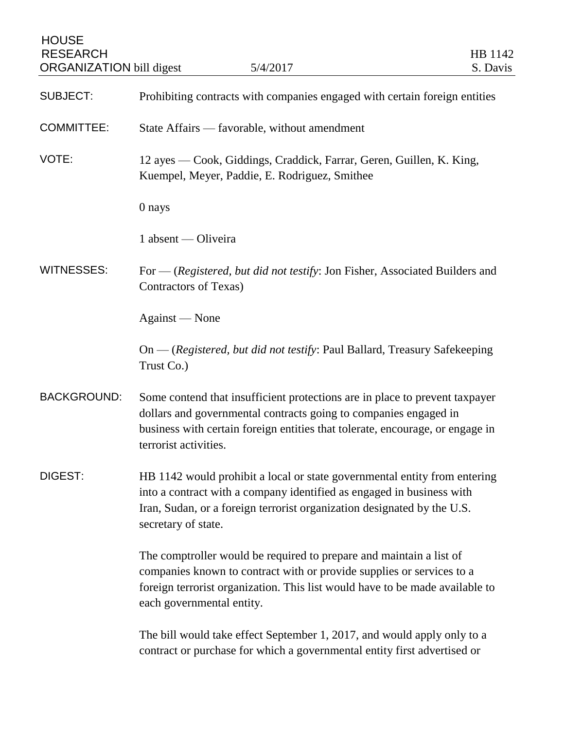| <b>HOUSE</b><br><b>RESEARCH</b><br><b>ORGANIZATION</b> bill digest | 5/4/2017                                                                                                                                                                                                                                                  | HB 1142<br>S. Davis |
|--------------------------------------------------------------------|-----------------------------------------------------------------------------------------------------------------------------------------------------------------------------------------------------------------------------------------------------------|---------------------|
| <b>SUBJECT:</b>                                                    | Prohibiting contracts with companies engaged with certain foreign entities                                                                                                                                                                                |                     |
| <b>COMMITTEE:</b>                                                  | State Affairs — favorable, without amendment                                                                                                                                                                                                              |                     |
| VOTE:                                                              | 12 ayes — Cook, Giddings, Craddick, Farrar, Geren, Guillen, K. King,<br>Kuempel, Meyer, Paddie, E. Rodriguez, Smithee                                                                                                                                     |                     |
|                                                                    | 0 nays                                                                                                                                                                                                                                                    |                     |
|                                                                    | 1 absent — Oliveira                                                                                                                                                                                                                                       |                     |
| <b>WITNESSES:</b>                                                  | For $-$ (Registered, but did not testify: Jon Fisher, Associated Builders and<br><b>Contractors of Texas)</b>                                                                                                                                             |                     |
|                                                                    | Against — None                                                                                                                                                                                                                                            |                     |
|                                                                    | On — (Registered, but did not testify: Paul Ballard, Treasury Safekeeping<br>Trust Co.)                                                                                                                                                                   |                     |
| <b>BACKGROUND:</b>                                                 | Some contend that insufficient protections are in place to prevent taxpayer<br>dollars and governmental contracts going to companies engaged in<br>business with certain foreign entities that tolerate, encourage, or engage in<br>terrorist activities  |                     |
| DIGEST:                                                            | HB 1142 would prohibit a local or state governmental entity from entering<br>into a contract with a company identified as engaged in business with<br>Iran, Sudan, or a foreign terrorist organization designated by the U.S.<br>secretary of state.      |                     |
|                                                                    | The comptroller would be required to prepare and maintain a list of<br>companies known to contract with or provide supplies or services to a<br>foreign terrorist organization. This list would have to be made available to<br>each governmental entity. |                     |
|                                                                    | The bill would take effect September 1, 2017, and would apply only to a<br>contract or purchase for which a governmental entity first advertised or                                                                                                       |                     |